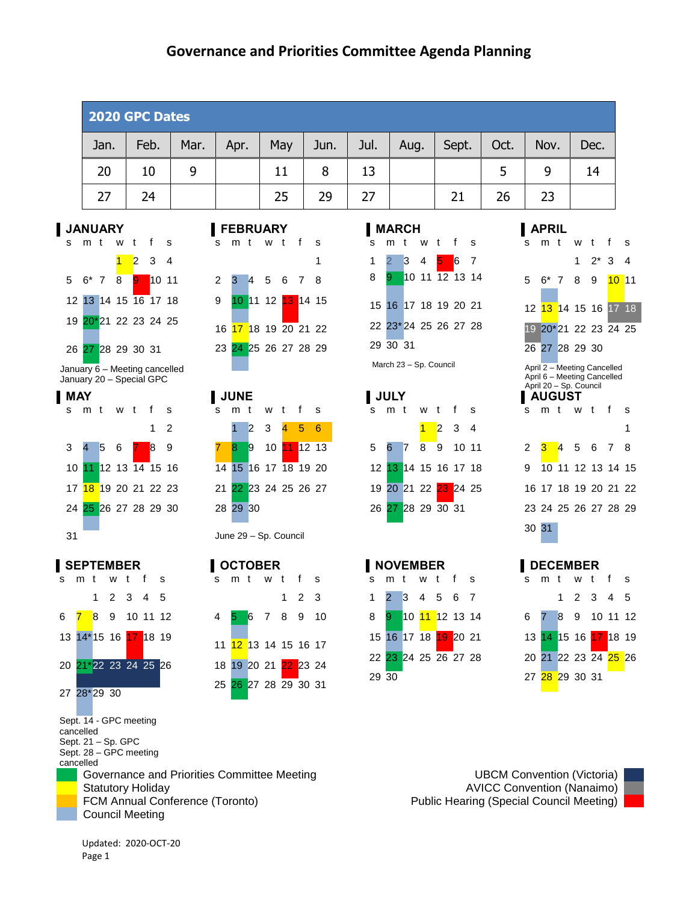| 2020 GPC Dates |      |      |      |     |      |      |      |       |      |      |      |
|----------------|------|------|------|-----|------|------|------|-------|------|------|------|
| Jan.           | Feb. | Mar. | Apr. | May | Jun. | Jul. | Aug. | Sept. | Oct. | Nov. | Dec. |
| 20             | 10   | 9    |      | 11  | 8    | 13   |      |       |      | 9    | 14   |
| 27             | 24   |      |      | 25  | 29   | 27   |      | 21    | 26   | 23   |      |



January 6 – Meeting cancelled January 20 – Special GPC





Sept. 14 - GPC meeting cancelled Sept. 21 – Sp. GPC Sept. 28 – GPC meeting cancelled

Governance and Priorities Committee Meeting **Example 20 Traveller** UBCM Convention (Victoria) Statutory Holiday **AVICC Convention (Nanaimo) AVICC Convention (Nanaimo)** FCM Annual Conference (Toronto) **Public Hearing (Special Council Meeting)** Public Hearing (Special Council Meeting) Council Meeting









| <b>JANUARY</b>                      |  |                      |  |  | <b>FEBRUARY</b> |  |                                   | <b>MARCH</b> |          |       |                      |  | <b>APRIL</b> |                       |  |
|-------------------------------------|--|----------------------|--|--|-----------------|--|-----------------------------------|--------------|----------|-------|----------------------|--|--------------|-----------------------|--|
| smtwtfs                             |  |                      |  |  | s m t w t f s   |  |                                   |              |          |       | s m t w t f s        |  | smt          |                       |  |
|                                     |  | <mark>1</mark> 2 3 4 |  |  |                 |  |                                   |              |          | 2 3 4 | 567                  |  |              |                       |  |
| 5 6 <sup>*</sup> 7 8 <b>9 10 11</b> |  |                      |  |  | 2 3 4 5 6 7 8   |  |                                   | 8            |          |       | 9 10 11 12 13 14     |  |              | 5 6* 7                |  |
| 12 13 14 15 16 17 18                |  |                      |  |  |                 |  | 9 10 11 12 13 14 15               |              |          |       | 15 16 17 18 19 20 21 |  |              | 12 <mark>13 14</mark> |  |
| 19 20*21 22 23 24 25                |  |                      |  |  |                 |  | 16 <mark>17</mark> 18 19 20 21 22 |              |          |       | 22 23*24 25 26 27 28 |  |              | 19 20*21              |  |
| 26 27 28 29 30 31                   |  |                      |  |  |                 |  | 23 24 25 26 27 28 29              |              | 29 30 31 |       |                      |  |              | 26 27 28              |  |

March 23 – Sp. Council



# s m t w t f s







Updated: 2020-OCT-20 Page 1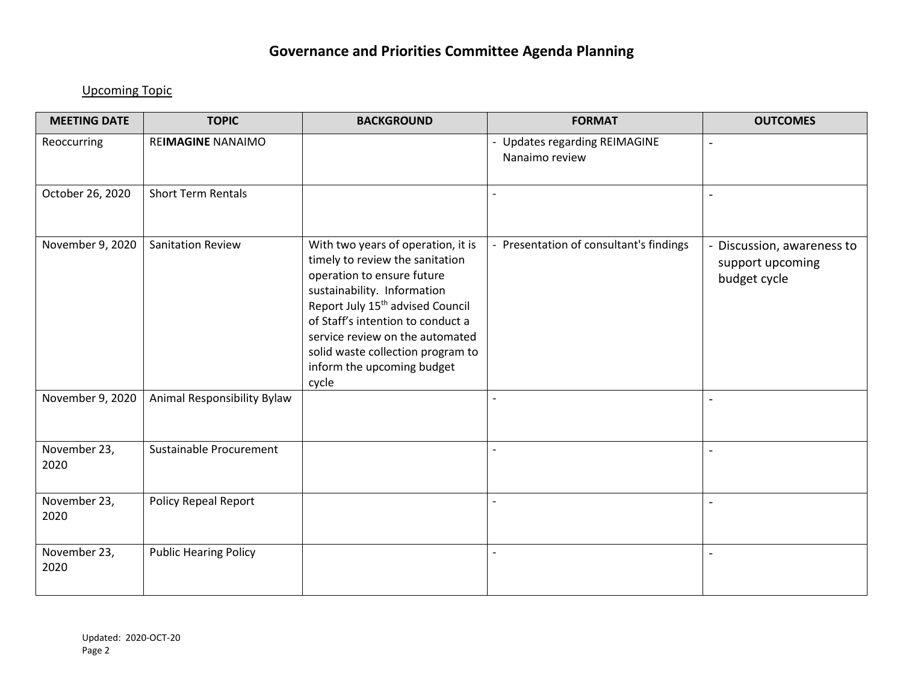### Upcoming Topic

| <b>MEETING DATE</b>  | <b>TOPIC</b>                 | <b>BACKGROUND</b>                                                                                                                                                                                                                                                                                                                      | <b>FORMAT</b>                                   | <b>OUTCOMES</b>                                              |
|----------------------|------------------------------|----------------------------------------------------------------------------------------------------------------------------------------------------------------------------------------------------------------------------------------------------------------------------------------------------------------------------------------|-------------------------------------------------|--------------------------------------------------------------|
| Reoccurring          | REIMAGINE NANAIMO            |                                                                                                                                                                                                                                                                                                                                        | - Updates regarding REIMAGINE<br>Nanaimo review | $\blacksquare$                                               |
| October 26, 2020     | <b>Short Term Rentals</b>    |                                                                                                                                                                                                                                                                                                                                        |                                                 | $\overline{\phantom{a}}$                                     |
| November 9, 2020     | <b>Sanitation Review</b>     | With two years of operation, it is<br>timely to review the sanitation<br>operation to ensure future<br>sustainability. Information<br>Report July 15 <sup>th</sup> advised Council<br>of Staff's intention to conduct a<br>service review on the automated<br>solid waste collection program to<br>inform the upcoming budget<br>cycle | - Presentation of consultant's findings         | Discussion, awareness to<br>support upcoming<br>budget cycle |
| November 9, 2020     | Animal Responsibility Bylaw  |                                                                                                                                                                                                                                                                                                                                        |                                                 | $\overline{a}$                                               |
| November 23,<br>2020 | Sustainable Procurement      |                                                                                                                                                                                                                                                                                                                                        |                                                 | $\overline{\phantom{a}}$                                     |
| November 23,<br>2020 | <b>Policy Repeal Report</b>  |                                                                                                                                                                                                                                                                                                                                        |                                                 | $\blacksquare$                                               |
| November 23,<br>2020 | <b>Public Hearing Policy</b> |                                                                                                                                                                                                                                                                                                                                        |                                                 | $\blacksquare$                                               |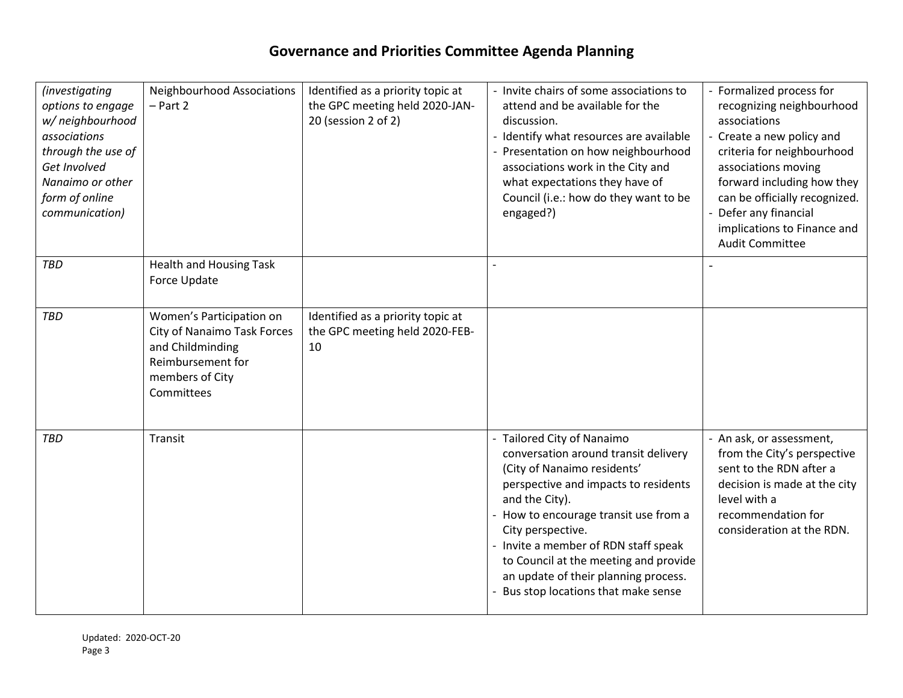| <i>(investigating</i><br>options to engage<br>w/ neighbourhood<br>associations<br>through the use of<br>Get Involved<br>Nanaimo or other<br>form of online<br>communication) | Neighbourhood Associations<br>$-$ Part 2                                                                                          | Identified as a priority topic at<br>the GPC meeting held 2020-JAN-<br>20 (session 2 of 2) | - Invite chairs of some associations to<br>attend and be available for the<br>discussion.<br>- Identify what resources are available<br>- Presentation on how neighbourhood<br>associations work in the City and<br>what expectations they have of<br>Council (i.e.: how do they want to be<br>engaged?)                                                                                 | - Formalized process for<br>recognizing neighbourhood<br>associations<br>- Create a new policy and<br>criteria for neighbourhood<br>associations moving<br>forward including how they<br>can be officially recognized.<br>- Defer any financial<br>implications to Finance and<br><b>Audit Committee</b> |
|------------------------------------------------------------------------------------------------------------------------------------------------------------------------------|-----------------------------------------------------------------------------------------------------------------------------------|--------------------------------------------------------------------------------------------|------------------------------------------------------------------------------------------------------------------------------------------------------------------------------------------------------------------------------------------------------------------------------------------------------------------------------------------------------------------------------------------|----------------------------------------------------------------------------------------------------------------------------------------------------------------------------------------------------------------------------------------------------------------------------------------------------------|
| <b>TBD</b>                                                                                                                                                                   | <b>Health and Housing Task</b><br>Force Update                                                                                    |                                                                                            |                                                                                                                                                                                                                                                                                                                                                                                          |                                                                                                                                                                                                                                                                                                          |
| TBD                                                                                                                                                                          | Women's Participation on<br>City of Nanaimo Task Forces<br>and Childminding<br>Reimbursement for<br>members of City<br>Committees | Identified as a priority topic at<br>the GPC meeting held 2020-FEB-<br>10                  |                                                                                                                                                                                                                                                                                                                                                                                          |                                                                                                                                                                                                                                                                                                          |
| TBD                                                                                                                                                                          | Transit                                                                                                                           |                                                                                            | - Tailored City of Nanaimo<br>conversation around transit delivery<br>(City of Nanaimo residents'<br>perspective and impacts to residents<br>and the City).<br>- How to encourage transit use from a<br>City perspective.<br>- Invite a member of RDN staff speak<br>to Council at the meeting and provide<br>an update of their planning process.<br>Bus stop locations that make sense | - An ask, or assessment,<br>from the City's perspective<br>sent to the RDN after a<br>decision is made at the city<br>level with a<br>recommendation for<br>consideration at the RDN.                                                                                                                    |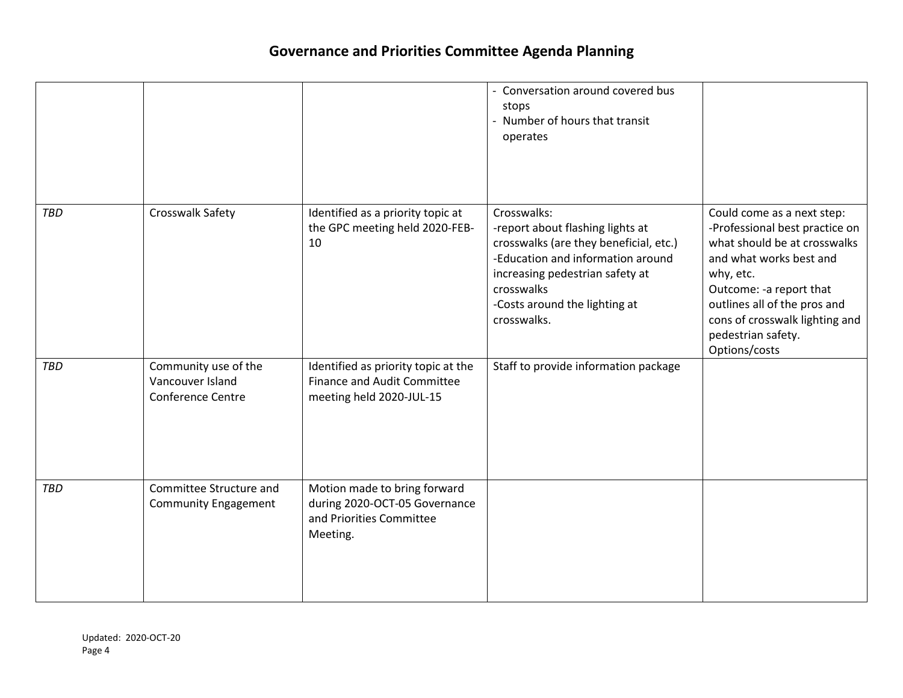|            |                                                                      |                                                                                                       | Conversation around covered bus<br>stops<br>- Number of hours that transit<br>operates                                                                                                                                          |                                                                                                                                                                                                                                                                          |
|------------|----------------------------------------------------------------------|-------------------------------------------------------------------------------------------------------|---------------------------------------------------------------------------------------------------------------------------------------------------------------------------------------------------------------------------------|--------------------------------------------------------------------------------------------------------------------------------------------------------------------------------------------------------------------------------------------------------------------------|
| <b>TBD</b> | Crosswalk Safety                                                     | Identified as a priority topic at<br>the GPC meeting held 2020-FEB-<br>10                             | Crosswalks:<br>-report about flashing lights at<br>crosswalks (are they beneficial, etc.)<br>-Education and information around<br>increasing pedestrian safety at<br>crosswalks<br>-Costs around the lighting at<br>crosswalks. | Could come as a next step:<br>-Professional best practice on<br>what should be at crosswalks<br>and what works best and<br>why, etc.<br>Outcome: -a report that<br>outlines all of the pros and<br>cons of crosswalk lighting and<br>pedestrian safety.<br>Options/costs |
| <b>TBD</b> | Community use of the<br>Vancouver Island<br><b>Conference Centre</b> | Identified as priority topic at the<br><b>Finance and Audit Committee</b><br>meeting held 2020-JUL-15 | Staff to provide information package                                                                                                                                                                                            |                                                                                                                                                                                                                                                                          |
| <b>TBD</b> | Committee Structure and<br><b>Community Engagement</b>               | Motion made to bring forward<br>during 2020-OCT-05 Governance<br>and Priorities Committee<br>Meeting. |                                                                                                                                                                                                                                 |                                                                                                                                                                                                                                                                          |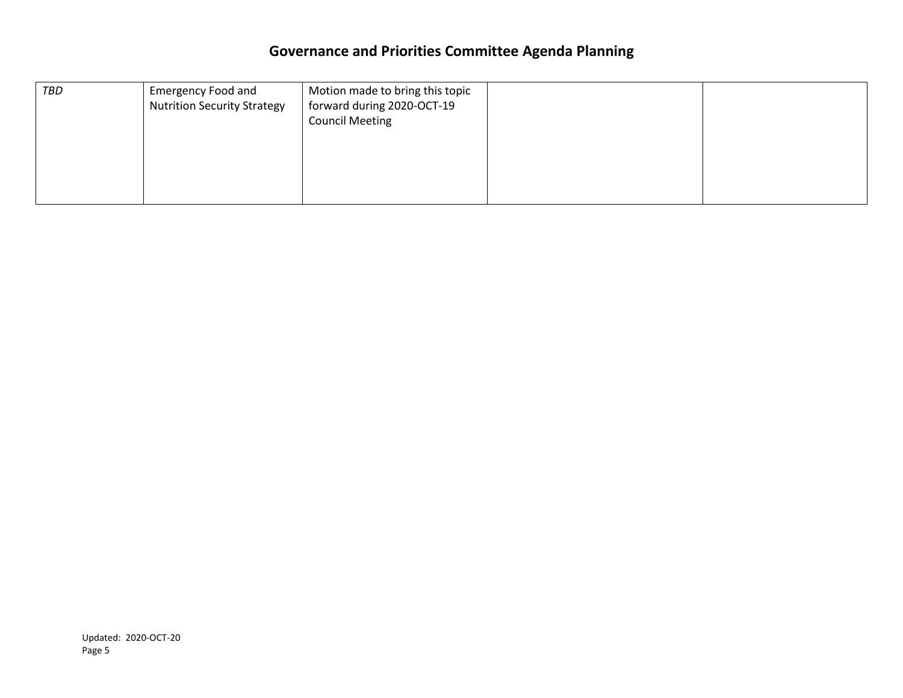| TBD | <b>Emergency Food and</b><br><b>Nutrition Security Strategy</b> | Motion made to bring this topic<br>forward during 2020-OCT-19<br><b>Council Meeting</b> |  |
|-----|-----------------------------------------------------------------|-----------------------------------------------------------------------------------------|--|
|     |                                                                 |                                                                                         |  |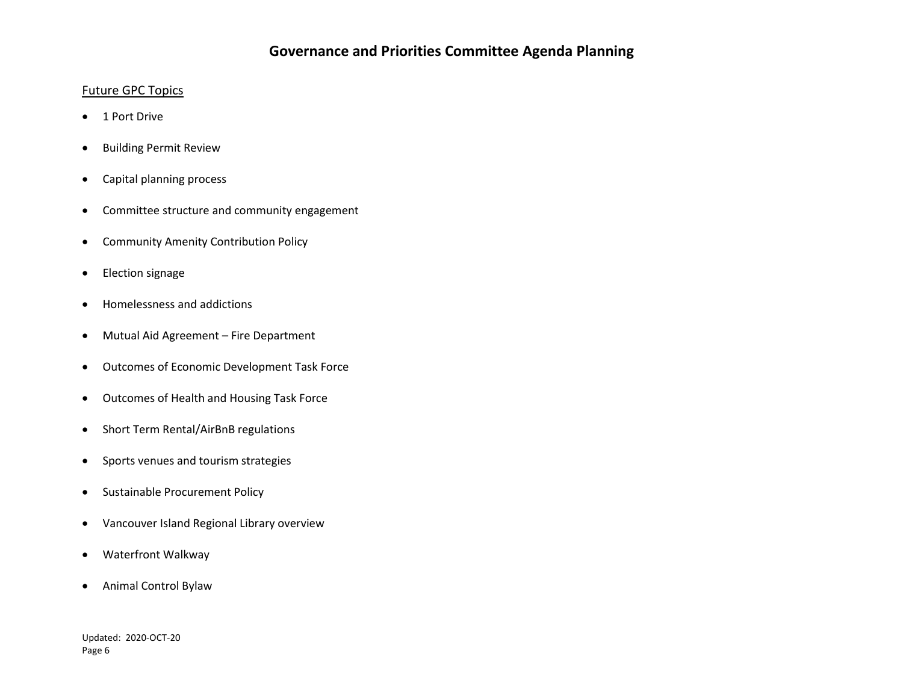### Future GPC Topics

- 1 Port Drive
- **•** Building Permit Review
- Capital planning process
- Committee structure and community engagement
- Community Amenity Contribution Policy
- Election signage
- Homelessness and addictions
- Mutual Aid Agreement Fire Department
- Outcomes of Economic Development Task Force
- Outcomes of Health and Housing Task Force
- Short Term Rental/AirBnB regulations
- Sports venues and tourism strategies
- Sustainable Procurement Policy
- Vancouver Island Regional Library overview
- Waterfront Walkway
- Animal Control Bylaw